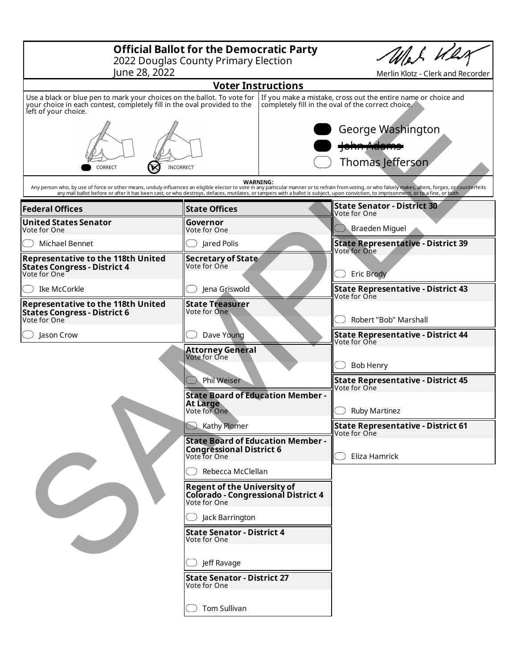| <b>Official Ballot for the Democratic Party</b><br>2022 Douglas County Primary Election<br>June 28, 2022                                                                    |                                                                                                                                       | Merlin Klotz - Clerk and Recorder |                                                                                                                                                                                                                                                                                                                                                                                                 |
|-----------------------------------------------------------------------------------------------------------------------------------------------------------------------------|---------------------------------------------------------------------------------------------------------------------------------------|-----------------------------------|-------------------------------------------------------------------------------------------------------------------------------------------------------------------------------------------------------------------------------------------------------------------------------------------------------------------------------------------------------------------------------------------------|
| <b>Voter Instructions</b>                                                                                                                                                   |                                                                                                                                       |                                   |                                                                                                                                                                                                                                                                                                                                                                                                 |
| Use a black or blue pen to mark your choices on the ballot. To vote for<br>your choice in each contest, completely fill in the oval provided to the<br>left of your choice. |                                                                                                                                       |                                   | If you make a mistake, cross out the entire name or choice and<br>completely fill in the oval of the correct choice.                                                                                                                                                                                                                                                                            |
| INCORRECT<br>CORRECT                                                                                                                                                        |                                                                                                                                       |                                   | George Washington<br><u>ann Adan</u><br>Thomas Jefferson                                                                                                                                                                                                                                                                                                                                        |
|                                                                                                                                                                             |                                                                                                                                       | <b>WARNING:</b>                   | Any person who, by use of force or other means, unduly influences an eligible elector to vote in any particular manner or to refrain from voting, or who falsely makes, alters, forges, or counterfeits<br>any mail ballot before or after it has been cast, or who destroys, defaces, mutilates, or tampers with a ballot is subject, upon conviction, to imprisonment, or to a fine, or both. |
| <b>Federal Offices</b>                                                                                                                                                      | <b>State Offices</b>                                                                                                                  |                                   | <b>State Senator - District 30</b><br>Vote for One                                                                                                                                                                                                                                                                                                                                              |
| United States Senator<br>Vote for One                                                                                                                                       | Governor<br>Vote for One                                                                                                              |                                   | Braeden Miguel                                                                                                                                                                                                                                                                                                                                                                                  |
| Michael Bennet                                                                                                                                                              | Jared Polis                                                                                                                           |                                   | <b>State Representative - District 39</b><br>Vote for One                                                                                                                                                                                                                                                                                                                                       |
| <b>Representative to the 118th United</b><br><b>States Congress - District 4</b><br>Vote for One                                                                            | <b>Secretary of State</b><br>Vote for One                                                                                             |                                   | <b>Eric Brody</b>                                                                                                                                                                                                                                                                                                                                                                               |
| Ike McCorkle                                                                                                                                                                | Jena Griswold                                                                                                                         |                                   | <b>State Representative - District 43</b><br>Vote for One                                                                                                                                                                                                                                                                                                                                       |
| <b>Representative to the 118th United</b><br><b>States Congress - District 6</b><br>Vote for One                                                                            | <b>State Treasurer</b><br>Vote for One                                                                                                |                                   | Robert "Bob" Marshall                                                                                                                                                                                                                                                                                                                                                                           |
| Jason Crow                                                                                                                                                                  | Dave Young                                                                                                                            |                                   | <b>State Representative - District 44</b><br>Vote for One                                                                                                                                                                                                                                                                                                                                       |
|                                                                                                                                                                             | <b>Attorney General</b><br>Vote for One<br>Phil Weiser<br><b>State Board of Education Member -</b><br><b>At Large</b><br>Vote for One |                                   | <b>Bob Henry</b>                                                                                                                                                                                                                                                                                                                                                                                |
|                                                                                                                                                                             |                                                                                                                                       |                                   | <b>State Representative - District 45</b>                                                                                                                                                                                                                                                                                                                                                       |
|                                                                                                                                                                             |                                                                                                                                       |                                   | Vote for One<br><b>Ruby Martinez</b>                                                                                                                                                                                                                                                                                                                                                            |
|                                                                                                                                                                             | Kathy Plomer                                                                                                                          |                                   | <b>State Representative - District 61</b><br>Vote for One                                                                                                                                                                                                                                                                                                                                       |
|                                                                                                                                                                             | <b>State Board of Education Member -</b><br><b>Congressional District 6</b><br>Vote for One                                           |                                   | Eliza Hamrick                                                                                                                                                                                                                                                                                                                                                                                   |
|                                                                                                                                                                             | Rebecca McClellan                                                                                                                     |                                   |                                                                                                                                                                                                                                                                                                                                                                                                 |
|                                                                                                                                                                             | <b>Regent of the University of</b><br>Colorado - Congressional District 4                                                             |                                   |                                                                                                                                                                                                                                                                                                                                                                                                 |
|                                                                                                                                                                             | Jack Barrington                                                                                                                       |                                   |                                                                                                                                                                                                                                                                                                                                                                                                 |
|                                                                                                                                                                             | <b>State Senator - District 4</b><br>Vote for One                                                                                     |                                   |                                                                                                                                                                                                                                                                                                                                                                                                 |
|                                                                                                                                                                             | Jeff Ravage                                                                                                                           |                                   |                                                                                                                                                                                                                                                                                                                                                                                                 |
|                                                                                                                                                                             | <b>State Senator - District 27</b><br>Vote for One                                                                                    |                                   |                                                                                                                                                                                                                                                                                                                                                                                                 |
|                                                                                                                                                                             | Tom Sullivan                                                                                                                          |                                   |                                                                                                                                                                                                                                                                                                                                                                                                 |